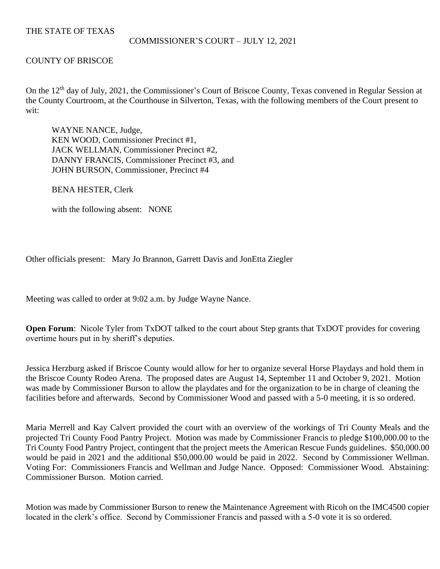# THE STATE OF TEXAS

#### COMMISSIONER'S COURT – JULY 12, 2021

# COUNTY OF BRISCOE

On the 12<sup>th</sup> day of July, 2021, the Commissioner's Court of Briscoe County, Texas convened in Regular Session at the County Courtroom, at the Courthouse in Silverton, Texas, with the following members of the Court present to wit:

WAYNE NANCE, Judge, KEN WOOD, Commissioner Precinct #1, JACK WELLMAN, Commissioner Precinct #2, DANNY FRANCIS, Commissioner Precinct #3, and JOHN BURSON, Commissioner, Precinct #4

BENA HESTER, Clerk

with the following absent: NONE

Other officials present: Mary Jo Brannon, Garrett Davis and JonEtta Ziegler

Meeting was called to order at 9:02 a.m. by Judge Wayne Nance.

**Open Forum:** Nicole Tyler from TxDOT talked to the court about Step grants that TxDOT provides for covering overtime hours put in by sheriff's deputies.

Jessica Herzburg asked if Briscoe County would allow for her to organize several Horse Playdays and hold them in the Briscoe County Rodeo Arena. The proposed dates are August 14, September 11 and October 9, 2021. Motion was made by Commissioner Burson to allow the playdates and for the organization to be in charge of cleaning the facilities before and afterwards. Second by Commissioner Wood and passed with a 5-0 meeting, it is so ordered.

Maria Merrell and Kay Calvert provided the court with an overview of the workings of Tri County Meals and the projected Tri County Food Pantry Project. Motion was made by Commissioner Francis to pledge \$100,000.00 to the Tri County Food Pantry Project, contingent that the project meets the American Rescue Funds guidelines. \$50,000.00 would be paid in 2021 and the additional \$50,000.00 would be paid in 2022. Second by Commissioner Wellman. Voting For: Commissioners Francis and Wellman and Judge Nance. Opposed: Commissioner Wood. Abstaining: Commissioner Burson. Motion carried.

Motion was made by Commissioner Burson to renew the Maintenance Agreement with Ricoh on the IMC4500 copier located in the clerk's office. Second by Commissioner Francis and passed with a 5-0 vote it is so ordered.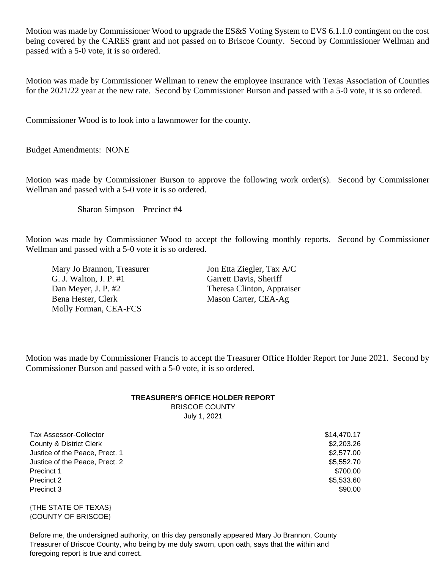Motion was made by Commissioner Wood to upgrade the ES&S Voting System to EVS 6.1.1.0 contingent on the cost being covered by the CARES grant and not passed on to Briscoe County. Second by Commissioner Wellman and passed with a 5-0 vote, it is so ordered.

Motion was made by Commissioner Wellman to renew the employee insurance with Texas Association of Counties for the 2021/22 year at the new rate. Second by Commissioner Burson and passed with a 5-0 vote, it is so ordered.

Commissioner Wood is to look into a lawnmower for the county.

Budget Amendments: NONE

Motion was made by Commissioner Burson to approve the following work order(s). Second by Commissioner Wellman and passed with a 5-0 vote it is so ordered.

Sharon Simpson – Precinct #4

Motion was made by Commissioner Wood to accept the following monthly reports. Second by Commissioner Wellman and passed with a 5-0 vote it is so ordered.

Mary Jo Brannon, Treasurer Jon Etta Ziegler, Tax A/C G. J. Walton, J. P. #1 Garrett Davis, Sheriff Dan Meyer, J. P. #2 Theresa Clinton, Appraiser Bena Hester, Clerk Mason Carter, CEA-Ag Molly Forman, CEA-FCS

Motion was made by Commissioner Francis to accept the Treasurer Office Holder Report for June 2021. Second by Commissioner Burson and passed with a 5-0 vote, it is so ordered.

# **TREASURER'S OFFICE HOLDER REPORT** BRISCOE COUNTY

July 1, 2021

Tax Assessor-Collector  $$14,470.17$ County & District Clerk \$2,203.26 Justice of the Peace, Prect. 1  $$2,577.00$ Justice of the Peace, Prect. 2  $$5,552.70$ Precinct 1 \$700.00 Precinct 2  $$5,533.60$ Precinct 3 \$90.00

{THE STATE OF TEXAS} {COUNTY OF BRISCOE}

Before me, the undersigned authority, on this day personally appeared Mary Jo Brannon, County Treasurer of Briscoe County, who being by me duly sworn, upon oath, says that the within and foregoing report is true and correct.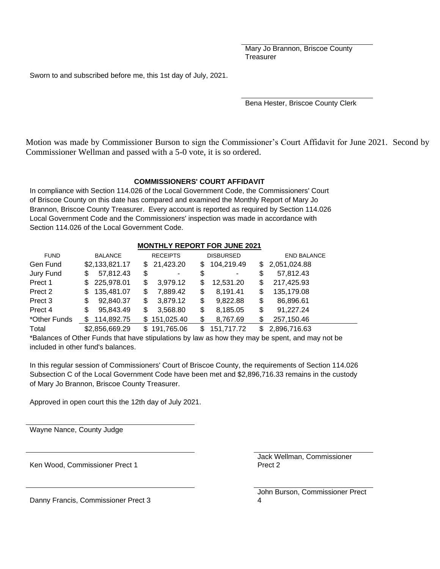Mary Jo Brannon, Briscoe County **Treasurer** 

Sworn to and subscribed before me, this 1st day of July, 2021.

Bena Hester, Briscoe County Clerk

Motion was made by Commissioner Burson to sign the Commissioner's Court Affidavit for June 2021. Second by Commissioner Wellman and passed with a 5-0 vote, it is so ordered.

#### **COMMISSIONERS' COURT AFFIDAVIT**

In compliance with Section 114.026 of the Local Government Code, the Commissioners' Court of Briscoe County on this date has compared and examined the Monthly Report of Mary Jo Brannon, Briscoe County Treasurer. Every account is reported as required by Section 114.026 Local Government Code and the Commissioners' inspection was made in accordance with Section 114.026 of the Local Government Code.

#### **MONTHLY REPORT FOR JUNE 2021**

| <b>FUND</b>        | <b>BALANCE</b> | <b>RECEIPTS</b> | <b>DISBURSED</b> | <b>END BALANCE</b> |
|--------------------|----------------|-----------------|------------------|--------------------|
| Gen Fund           | \$2,133,821.17 | 21,423.20<br>\$ | 104,219.49<br>S. | \$2,051,024.88     |
| Jury Fund          | 57,812.43      | \$              | \$               | 57,812.43          |
|                    | S              | ۰               | ۰                | \$                 |
| Prect 1            | 225,978.01     | 3,979.12        | 12,531.20        | 217,425.93         |
|                    | \$.            | \$              | S                | \$                 |
| Prect 2            | 135,481.07     | 7,889.42        | 8,191.41         | 135,179.08         |
|                    | S              | \$              | S                | \$                 |
| Prect <sub>3</sub> | 92,840.37      | 3,879.12        | 9,822.88         | 86,896.61          |
|                    | \$             | S               | S                | \$                 |
| Prect 4            | 95,843.49      | 3,568.80        | 8,185.05         | 91,227.24          |
|                    | \$             | S               | \$               | \$                 |
| *Other Funds       | 114,892.75     | \$151,025.40    | 8,767.69<br>\$   | 257,150.46<br>\$   |
| Total              | \$2,856,669.29 | \$191,765.06    | 151,717.72<br>S  | 2,896,716.63       |

\*Balances of Other Funds that have stipulations by law as how they may be spent, and may not be included in other fund's balances.

In this regular session of Commissioners' Court of Briscoe County, the requirements of Section 114.026 Subsection C of the Local Government Code have been met and \$2,896,716.33 remains in the custody of Mary Jo Brannon, Briscoe County Treasurer.

Approved in open court this the 12th day of July 2021.

Wayne Nance, County Judge

Ken Wood, Commissioner Prect 1

Jack Wellman, Commissioner Prect 2

John Burson, Commissioner Prect 4

Danny Francis, Commissioner Prect 3